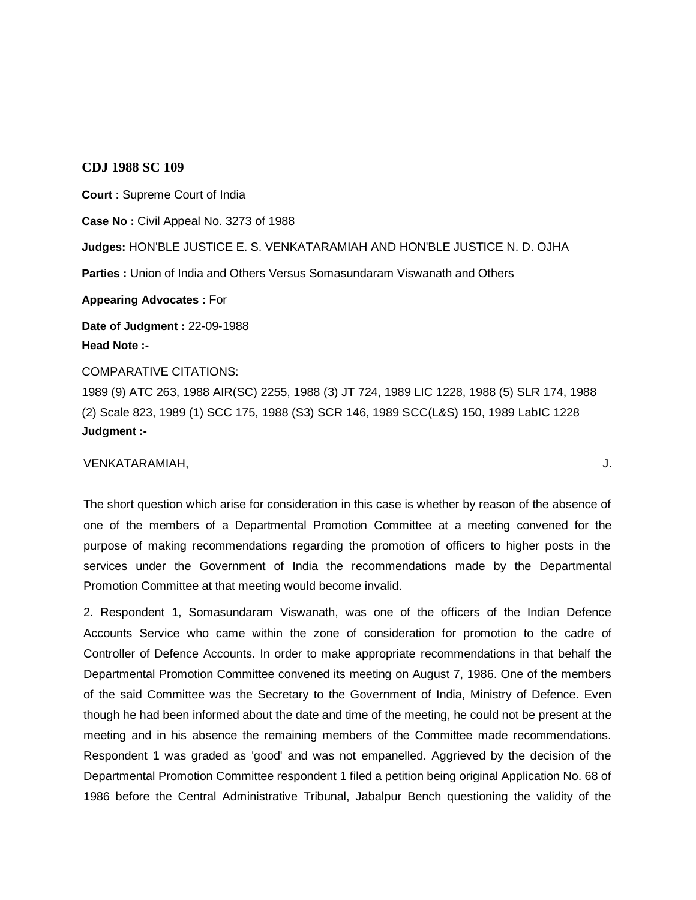## **CDJ 1988 SC 109**

**Court :** Supreme Court of India **Case No :** Civil Appeal No. 3273 of 1988 **Judges:** HON'BLE JUSTICE E. S. VENKATARAMIAH AND HON'BLE JUSTICE N. D. OJHA **Parties :** Union of India and Others Versus Somasundaram Viswanath and Others **Appearing Advocates :** For **Date of Judgment :** 22-09-1988 **Head Note :-**

## COMPARATIVE CITATIONS:

1989 (9) ATC 263, 1988 AIR(SC) 2255, 1988 (3) JT 724, 1989 LIC 1228, 1988 (5) SLR 174, 1988 (2) Scale 823, 1989 (1) SCC 175, 1988 (S3) SCR 146, 1989 SCC(L&S) 150, 1989 LabIC 1228 **Judgment :-**

## VENKATARAMIAH, J.

The short question which arise for consideration in this case is whether by reason of the absence of one of the members of a Departmental Promotion Committee at a meeting convened for the purpose of making recommendations regarding the promotion of officers to higher posts in the services under the Government of India the recommendations made by the Departmental Promotion Committee at that meeting would become invalid.

2. Respondent 1, Somasundaram Viswanath, was one of the officers of the Indian Defence Accounts Service who came within the zone of consideration for promotion to the cadre of Controller of Defence Accounts. In order to make appropriate recommendations in that behalf the Departmental Promotion Committee convened its meeting on August 7, 1986. One of the members of the said Committee was the Secretary to the Government of India, Ministry of Defence. Even though he had been informed about the date and time of the meeting, he could not be present at the meeting and in his absence the remaining members of the Committee made recommendations. Respondent 1 was graded as 'good' and was not empanelled. Aggrieved by the decision of the Departmental Promotion Committee respondent 1 filed a petition being original Application No. 68 of 1986 before the Central Administrative Tribunal, Jabalpur Bench questioning the validity of the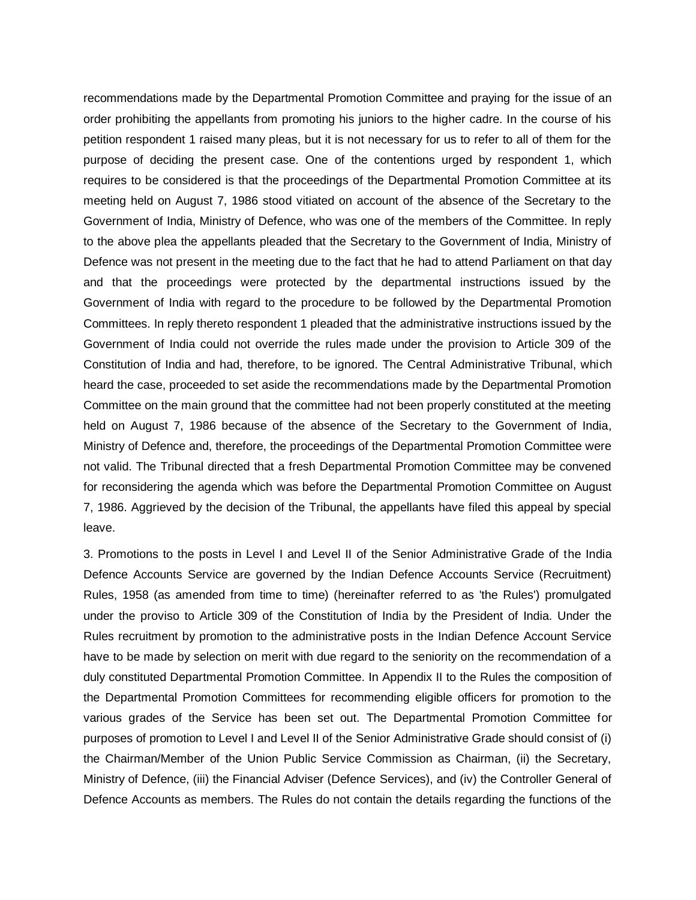recommendations made by the Departmental Promotion Committee and praying for the issue of an order prohibiting the appellants from promoting his juniors to the higher cadre. In the course of his petition respondent 1 raised many pleas, but it is not necessary for us to refer to all of them for the purpose of deciding the present case. One of the contentions urged by respondent 1, which requires to be considered is that the proceedings of the Departmental Promotion Committee at its meeting held on August 7, 1986 stood vitiated on account of the absence of the Secretary to the Government of India, Ministry of Defence, who was one of the members of the Committee. In reply to the above plea the appellants pleaded that the Secretary to the Government of India, Ministry of Defence was not present in the meeting due to the fact that he had to attend Parliament on that day and that the proceedings were protected by the departmental instructions issued by the Government of India with regard to the procedure to be followed by the Departmental Promotion Committees. In reply thereto respondent 1 pleaded that the administrative instructions issued by the Government of India could not override the rules made under the provision to Article 309 of the Constitution of India and had, therefore, to be ignored. The Central Administrative Tribunal, which heard the case, proceeded to set aside the recommendations made by the Departmental Promotion Committee on the main ground that the committee had not been properly constituted at the meeting held on August 7, 1986 because of the absence of the Secretary to the Government of India, Ministry of Defence and, therefore, the proceedings of the Departmental Promotion Committee were not valid. The Tribunal directed that a fresh Departmental Promotion Committee may be convened for reconsidering the agenda which was before the Departmental Promotion Committee on August 7, 1986. Aggrieved by the decision of the Tribunal, the appellants have filed this appeal by special leave.

3. Promotions to the posts in Level I and Level II of the Senior Administrative Grade of the India Defence Accounts Service are governed by the Indian Defence Accounts Service (Recruitment) Rules, 1958 (as amended from time to time) (hereinafter referred to as 'the Rules') promulgated under the proviso to Article 309 of the Constitution of India by the President of India. Under the Rules recruitment by promotion to the administrative posts in the Indian Defence Account Service have to be made by selection on merit with due regard to the seniority on the recommendation of a duly constituted Departmental Promotion Committee. In Appendix II to the Rules the composition of the Departmental Promotion Committees for recommending eligible officers for promotion to the various grades of the Service has been set out. The Departmental Promotion Committee for purposes of promotion to Level I and Level II of the Senior Administrative Grade should consist of (i) the Chairman/Member of the Union Public Service Commission as Chairman, (ii) the Secretary, Ministry of Defence, (iii) the Financial Adviser (Defence Services), and (iv) the Controller General of Defence Accounts as members. The Rules do not contain the details regarding the functions of the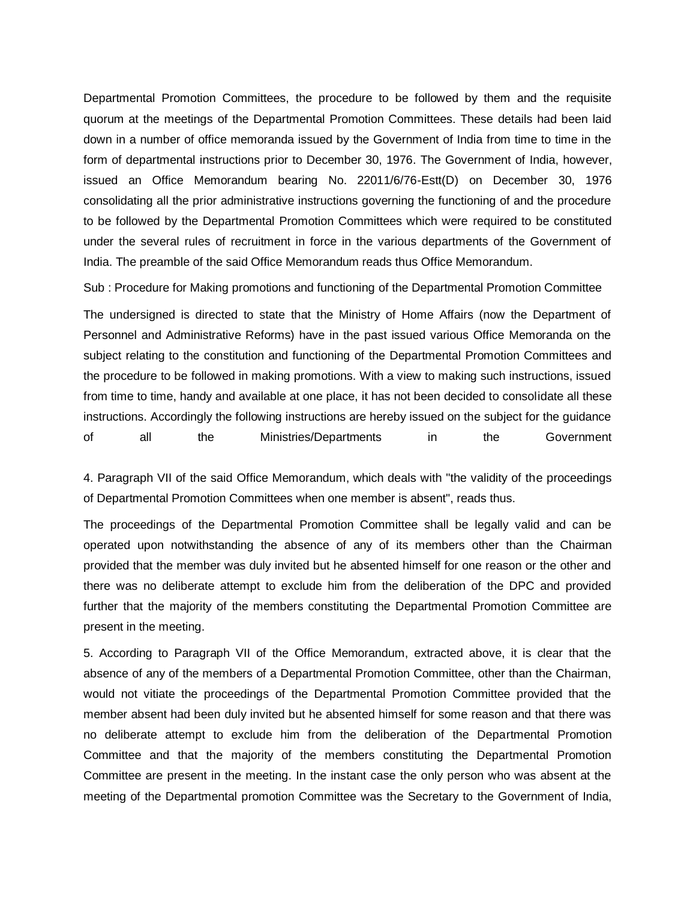Departmental Promotion Committees, the procedure to be followed by them and the requisite quorum at the meetings of the Departmental Promotion Committees. These details had been laid down in a number of office memoranda issued by the Government of India from time to time in the form of departmental instructions prior to December 30, 1976. The Government of India, however, issued an Office Memorandum bearing No. 22011/6/76-Estt(D) on December 30, 1976 consolidating all the prior administrative instructions governing the functioning of and the procedure to be followed by the Departmental Promotion Committees which were required to be constituted under the several rules of recruitment in force in the various departments of the Government of India. The preamble of the said Office Memorandum reads thus Office Memorandum.

Sub : Procedure for Making promotions and functioning of the Departmental Promotion Committee

The undersigned is directed to state that the Ministry of Home Affairs (now the Department of Personnel and Administrative Reforms) have in the past issued various Office Memoranda on the subject relating to the constitution and functioning of the Departmental Promotion Committees and the procedure to be followed in making promotions. With a view to making such instructions, issued from time to time, handy and available at one place, it has not been decided to consolidate all these instructions. Accordingly the following instructions are hereby issued on the subject for the guidance of all the Ministries/Departments in the Government

4. Paragraph VII of the said Office Memorandum, which deals with "the validity of the proceedings of Departmental Promotion Committees when one member is absent", reads thus.

The proceedings of the Departmental Promotion Committee shall be legally valid and can be operated upon notwithstanding the absence of any of its members other than the Chairman provided that the member was duly invited but he absented himself for one reason or the other and there was no deliberate attempt to exclude him from the deliberation of the DPC and provided further that the majority of the members constituting the Departmental Promotion Committee are present in the meeting.

5. According to Paragraph VII of the Office Memorandum, extracted above, it is clear that the absence of any of the members of a Departmental Promotion Committee, other than the Chairman, would not vitiate the proceedings of the Departmental Promotion Committee provided that the member absent had been duly invited but he absented himself for some reason and that there was no deliberate attempt to exclude him from the deliberation of the Departmental Promotion Committee and that the majority of the members constituting the Departmental Promotion Committee are present in the meeting. In the instant case the only person who was absent at the meeting of the Departmental promotion Committee was the Secretary to the Government of India,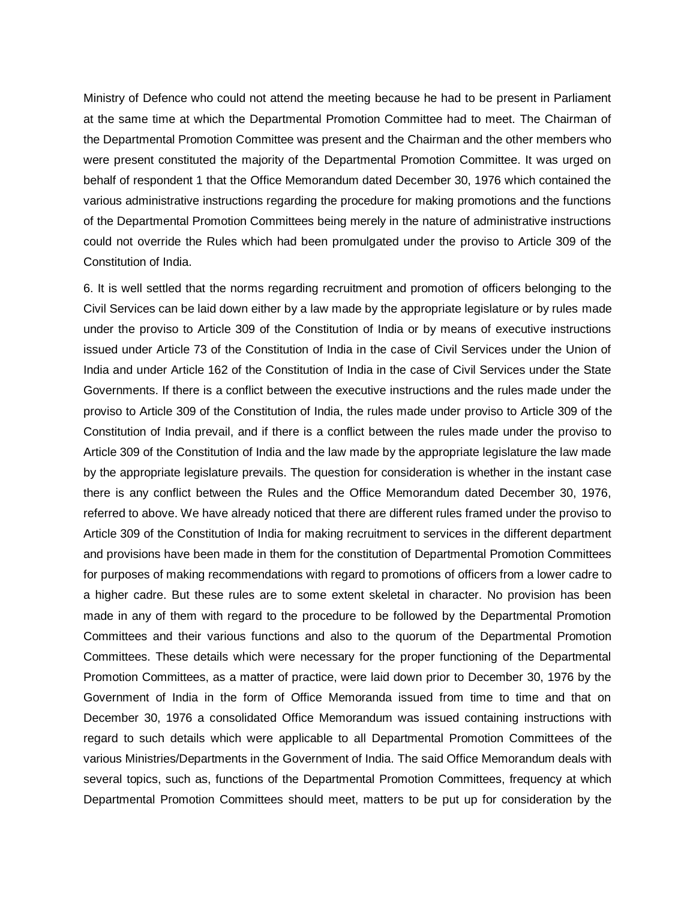Ministry of Defence who could not attend the meeting because he had to be present in Parliament at the same time at which the Departmental Promotion Committee had to meet. The Chairman of the Departmental Promotion Committee was present and the Chairman and the other members who were present constituted the majority of the Departmental Promotion Committee. It was urged on behalf of respondent 1 that the Office Memorandum dated December 30, 1976 which contained the various administrative instructions regarding the procedure for making promotions and the functions of the Departmental Promotion Committees being merely in the nature of administrative instructions could not override the Rules which had been promulgated under the proviso to Article 309 of the Constitution of India.

6. It is well settled that the norms regarding recruitment and promotion of officers belonging to the Civil Services can be laid down either by a law made by the appropriate legislature or by rules made under the proviso to Article 309 of the Constitution of India or by means of executive instructions issued under Article 73 of the Constitution of India in the case of Civil Services under the Union of India and under Article 162 of the Constitution of India in the case of Civil Services under the State Governments. If there is a conflict between the executive instructions and the rules made under the proviso to Article 309 of the Constitution of India, the rules made under proviso to Article 309 of the Constitution of India prevail, and if there is a conflict between the rules made under the proviso to Article 309 of the Constitution of India and the law made by the appropriate legislature the law made by the appropriate legislature prevails. The question for consideration is whether in the instant case there is any conflict between the Rules and the Office Memorandum dated December 30, 1976, referred to above. We have already noticed that there are different rules framed under the proviso to Article 309 of the Constitution of India for making recruitment to services in the different department and provisions have been made in them for the constitution of Departmental Promotion Committees for purposes of making recommendations with regard to promotions of officers from a lower cadre to a higher cadre. But these rules are to some extent skeletal in character. No provision has been made in any of them with regard to the procedure to be followed by the Departmental Promotion Committees and their various functions and also to the quorum of the Departmental Promotion Committees. These details which were necessary for the proper functioning of the Departmental Promotion Committees, as a matter of practice, were laid down prior to December 30, 1976 by the Government of India in the form of Office Memoranda issued from time to time and that on December 30, 1976 a consolidated Office Memorandum was issued containing instructions with regard to such details which were applicable to all Departmental Promotion Committees of the various Ministries/Departments in the Government of India. The said Office Memorandum deals with several topics, such as, functions of the Departmental Promotion Committees, frequency at which Departmental Promotion Committees should meet, matters to be put up for consideration by the